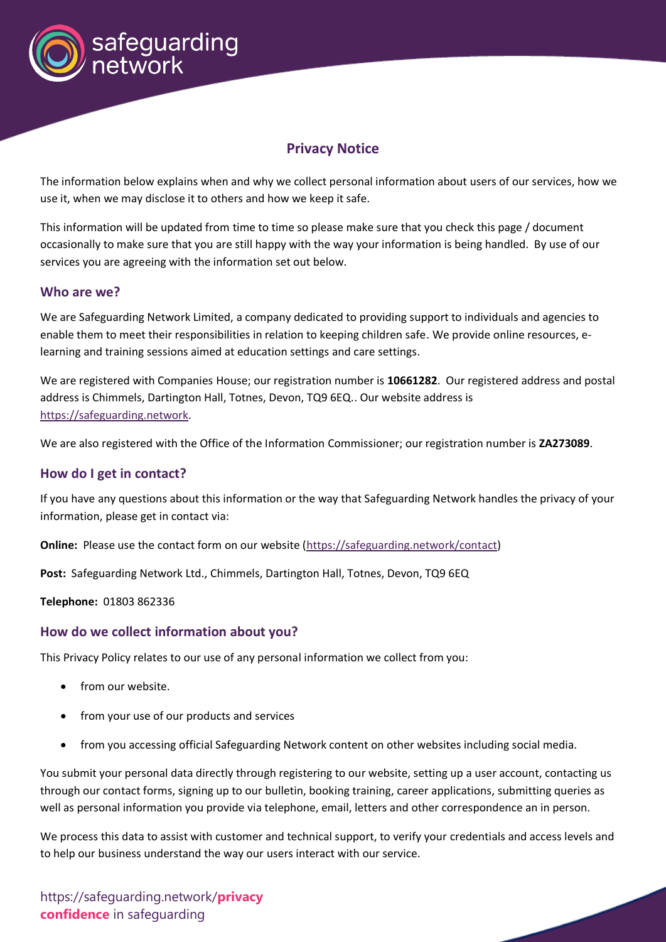

# **Privacy Notice**

The information below explains when and why we collect personal information about users of our services, how we use it, when we may disclose it to others and how we keep it safe.

This information will be updated from time to time so please make sure that you check this page / document occasionally to make sure that you are still happy with the way your information is being handled. By use of our services you are agreeing with the information set out below.

#### **Who are we?**

We are Safeguarding Network Limited, a company dedicated to providing support to individuals and agencies to enable them to meet their responsibilities in relation to keeping children safe. We provide online resources, elearning and training sessions aimed at education settings and care settings.

We are registered with Companies House; our registration number is **10661282**. Our registered address and postal address is Chimmels, Dartington Hall, Totnes, Devon, TQ9 6EQ.. Our website address is [https://safeguarding.network.](https://safeguarding.network/)

We are also registered with the Office of the Information Commissioner; our registration number is **ZA273089**.

#### **How do I get in contact?**

If you have any questions about this information or the way that Safeguarding Network handles the privacy of your information, please get in contact via:

**Online:** Please use the contact form on our website [\(https://safeguarding.network/contact\)](https://safeguarding.network/contact)

**Post:** Safeguarding Network Ltd., Chimmels, Dartington Hall, Totnes, Devon, TQ9 6EQ

**Telephone:** 01803 862336

#### **How do we collect information about you?**

This Privacy Policy relates to our use of any personal information we collect from you:

- from our website.
- from your use of our products and services
- from you accessing official Safeguarding Network content on other websites including social media.

You submit your personal data directly through registering to our website, setting up a user account, contacting us through our contact forms, signing up to our bulletin, booking training, career applications, submitting queries as well as personal information you provide via telephone, email, letters and other correspondence an in person.

We process this data to assist with customer and technical support, to verify your credentials and access levels and to help our business understand the way our users interact with our service.

https://safeguarding.network/**privacy confidence** in safeguarding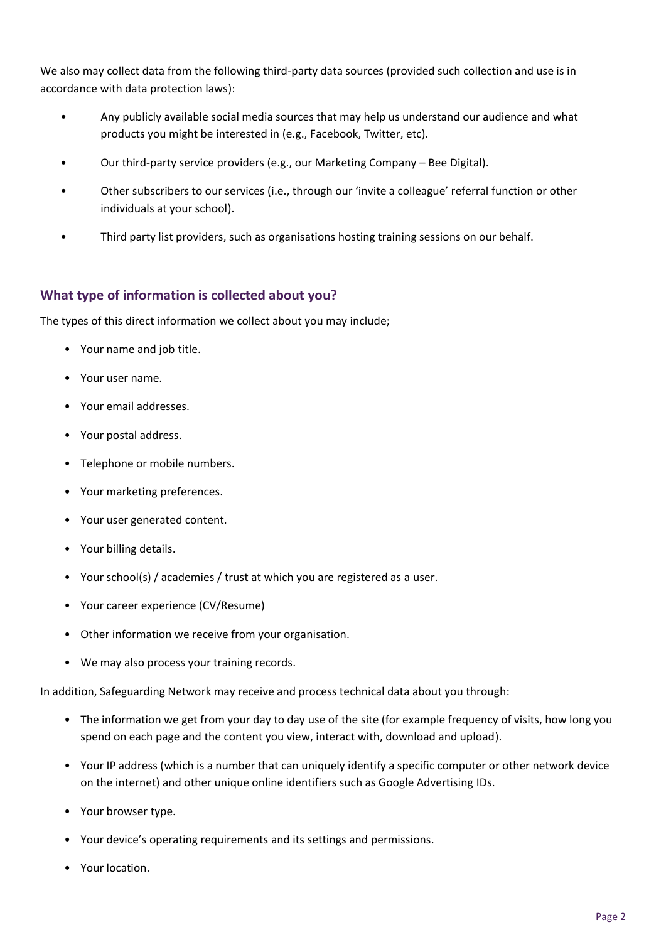We also may collect data from the following third-party data sources (provided such collection and use is in accordance with data protection laws):

- Any publicly available social media sources that may help us understand our audience and what products you might be interested in (e.g., Facebook, Twitter, etc).
- Our third-party service providers (e.g., our Marketing Company Bee Digital).
- Other subscribers to our services (i.e., through our 'invite a colleague' referral function or other individuals at your school).
- Third party list providers, such as organisations hosting training sessions on our behalf.

## **What type of information is collected about you?**

The types of this direct information we collect about you may include;

- Your name and job title.
- Your user name.
- Your email addresses.
- Your postal address.
- Telephone or mobile numbers.
- Your marketing preferences.
- Your user generated content.
- Your billing details.
- Your school(s) / academies / trust at which you are registered as a user.
- Your career experience (CV/Resume)
- Other information we receive from your organisation.
- We may also process your training records.

In addition, Safeguarding Network may receive and process technical data about you through:

- The information we get from your day to day use of the site (for example frequency of visits, how long you spend on each page and the content you view, interact with, download and upload).
- Your IP address (which is a number that can uniquely identify a specific computer or other network device on the internet) and other unique online identifiers such as Google Advertising IDs.
- Your browser type.
- Your device's operating requirements and its settings and permissions.
- Your location.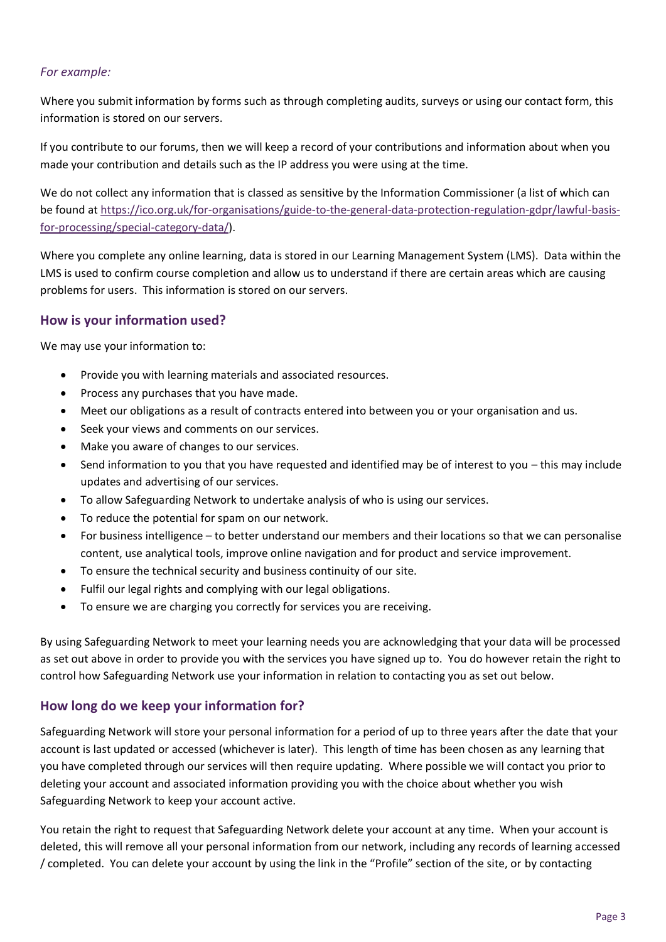#### *For example:*

Where you submit information by forms such as through completing audits, surveys or using our contact form, this information is stored on our servers.

If you contribute to our forums, then we will keep a record of your contributions and information about when you made your contribution and details such as the IP address you were using at the time.

We do not collect any information that is classed as sensitive by the Information Commissioner (a list of which can be found at [https://ico.org.uk/for-organisations/guide-to-the-general-data-protection-regulation-gdpr/lawful-basis](https://ico.org.uk/for-organisations/guide-to-the-general-data-protection-regulation-gdpr/lawful-basis-for-processing/special-category-data/)[for-processing/special-category-data/\)](https://ico.org.uk/for-organisations/guide-to-the-general-data-protection-regulation-gdpr/lawful-basis-for-processing/special-category-data/).

Where you complete any online learning, data is stored in our Learning Management System (LMS). Data within the LMS is used to confirm course completion and allow us to understand if there are certain areas which are causing problems for users. This information is stored on our servers.

### **How is your information used?**

We may use your information to:

- Provide you with learning materials and associated resources.
- Process any purchases that you have made.
- Meet our obligations as a result of contracts entered into between you or your organisation and us.
- Seek your views and comments on our services.
- Make you aware of changes to our services.
- Send information to you that you have requested and identified may be of interest to you this may include updates and advertising of our services.
- To allow Safeguarding Network to undertake analysis of who is using our services.
- To reduce the potential for spam on our network.
- For business intelligence to better understand our members and their locations so that we can personalise content, use analytical tools, improve online navigation and for product and service improvement.
- To ensure the technical security and business continuity of our site.
- Fulfil our legal rights and complying with our legal obligations.
- To ensure we are charging you correctly for services you are receiving.

By using Safeguarding Network to meet your learning needs you are acknowledging that your data will be processed as set out above in order to provide you with the services you have signed up to. You do however retain the right to control how Safeguarding Network use your information in relation to contacting you as set out below.

### **How long do we keep your information for?**

Safeguarding Network will store your personal information for a period of up to three years after the date that your account is last updated or accessed (whichever is later). This length of time has been chosen as any learning that you have completed through our services will then require updating. Where possible we will contact you prior to deleting your account and associated information providing you with the choice about whether you wish Safeguarding Network to keep your account active.

You retain the right to request that Safeguarding Network delete your account at any time. When your account is deleted, this will remove all your personal information from our network, including any records of learning accessed / completed. You can delete your account by using the link in the "Profile" section of the site, or by contacting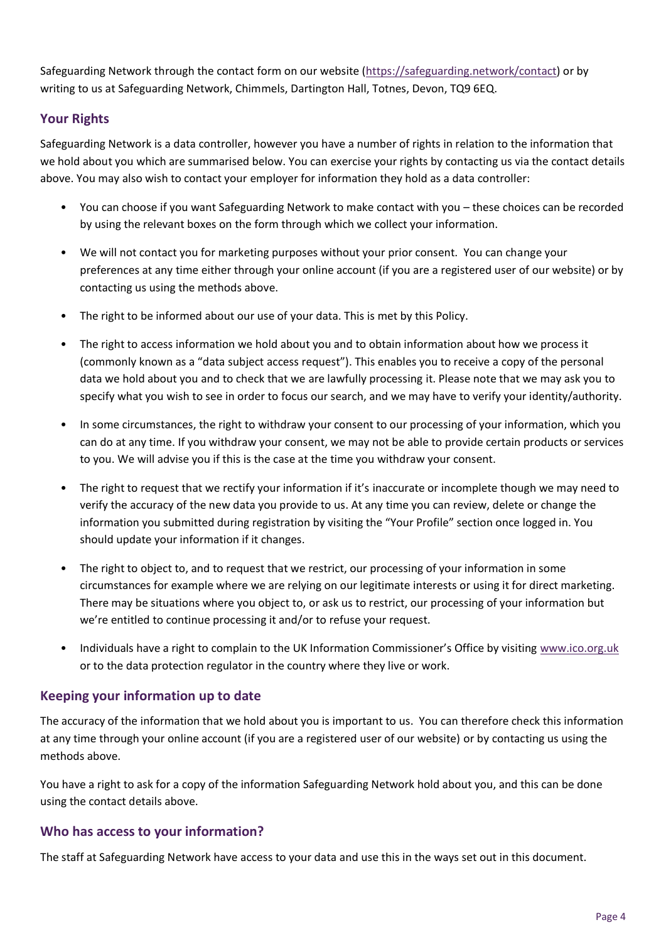Safeguarding Network through the contact form on our website [\(https://safeguarding.network/contact\)](https://safeguarding.network/contact) or by writing to us at Safeguarding Network, Chimmels, Dartington Hall, Totnes, Devon, TQ9 6EQ.

## **Your Rights**

Safeguarding Network is a data controller, however you have a number of rights in relation to the information that we hold about you which are summarised below. You can exercise your rights by contacting us via the contact details above. You may also wish to contact your employer for information they hold as a data controller:

- You can choose if you want Safeguarding Network to make contact with you these choices can be recorded by using the relevant boxes on the form through which we collect your information.
- We will not contact you for marketing purposes without your prior consent. You can change your preferences at any time either through your online account (if you are a registered user of our website) or by contacting us using the methods above.
- The right to be informed about our use of your data. This is met by this Policy.
- The right to access information we hold about you and to obtain information about how we process it (commonly known as a "data subject access request"). This enables you to receive a copy of the personal data we hold about you and to check that we are lawfully processing it. Please note that we may ask you to specify what you wish to see in order to focus our search, and we may have to verify your identity/authority.
- In some circumstances, the right to withdraw your consent to our processing of your information, which you can do at any time. If you withdraw your consent, we may not be able to provide certain products or services to you. We will advise you if this is the case at the time you withdraw your consent.
- The right to request that we rectify your information if it's inaccurate or incomplete though we may need to verify the accuracy of the new data you provide to us. At any time you can review, delete or change the information you submitted during registration by visiting the "Your Profile" section once logged in. You should update your information if it changes.
- The right to object to, and to request that we restrict, our processing of your information in some circumstances for example where we are relying on our legitimate interests or using it for direct marketing. There may be situations where you object to, or ask us to restrict, our processing of your information but we're entitled to continue processing it and/or to refuse your request.
- Individuals have a right to complain to the UK Information Commissioner's Office by visiting [www.ico.org.uk](http://www.ico.org.uk/) or to the data protection regulator in the country where they live or work.

### **Keeping your information up to date**

The accuracy of the information that we hold about you is important to us. You can therefore check this information at any time through your online account (if you are a registered user of our website) or by contacting us using the methods above.

You have a right to ask for a copy of the information Safeguarding Network hold about you, and this can be done using the contact details above.

### **Who has access to your information?**

The staff at Safeguarding Network have access to your data and use this in the ways set out in this document.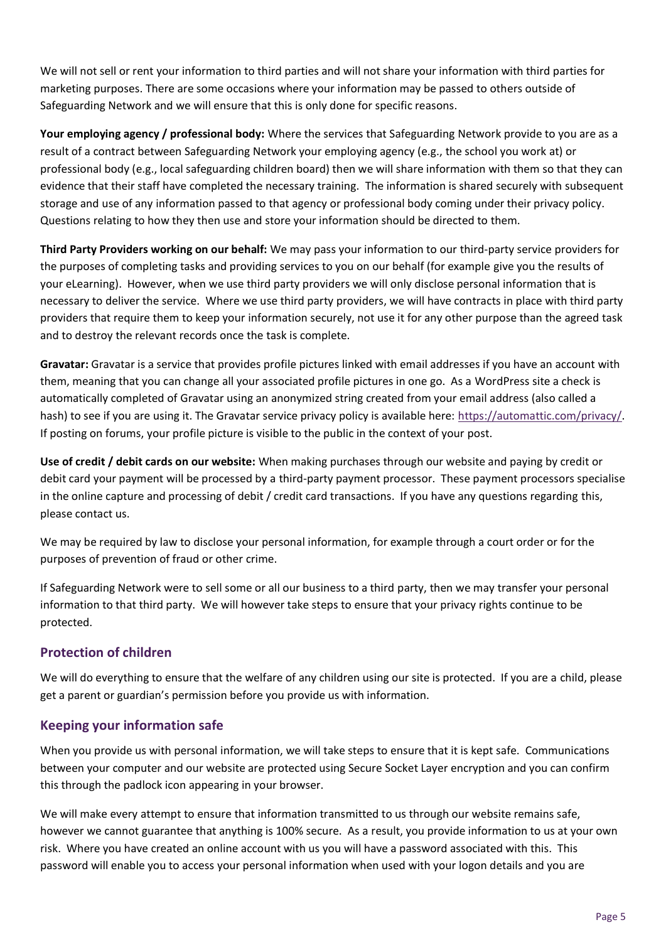We will not sell or rent your information to third parties and will not share your information with third parties for marketing purposes. There are some occasions where your information may be passed to others outside of Safeguarding Network and we will ensure that this is only done for specific reasons.

**Your employing agency / professional body:** Where the services that Safeguarding Network provide to you are as a result of a contract between Safeguarding Network your employing agency (e.g., the school you work at) or professional body (e.g., local safeguarding children board) then we will share information with them so that they can evidence that their staff have completed the necessary training. The information is shared securely with subsequent storage and use of any information passed to that agency or professional body coming under their privacy policy. Questions relating to how they then use and store your information should be directed to them.

**Third Party Providers working on our behalf:** We may pass your information to our third-party service providers for the purposes of completing tasks and providing services to you on our behalf (for example give you the results of your eLearning). However, when we use third party providers we will only disclose personal information that is necessary to deliver the service. Where we use third party providers, we will have contracts in place with third party providers that require them to keep your information securely, not use it for any other purpose than the agreed task and to destroy the relevant records once the task is complete.

**Gravatar:** Gravatar is a service that provides profile pictures linked with email addresses if you have an account with them, meaning that you can change all your associated profile pictures in one go. As a WordPress site a check is automatically completed of Gravatar using an anonymized string created from your email address (also called a hash) to see if you are using it. The Gravatar service privacy policy is available here: [https://automattic.com/privacy/.](https://automattic.com/privacy/) If posting on forums, your profile picture is visible to the public in the context of your post.

**Use of credit / debit cards on our website:** When making purchases through our website and paying by credit or debit card your payment will be processed by a third-party payment processor. These payment processors specialise in the online capture and processing of debit / credit card transactions. If you have any questions regarding this, please contact us.

We may be required by law to disclose your personal information, for example through a court order or for the purposes of prevention of fraud or other crime.

If Safeguarding Network were to sell some or all our business to a third party, then we may transfer your personal information to that third party. We will however take steps to ensure that your privacy rights continue to be protected.

### **Protection of children**

We will do everything to ensure that the welfare of any children using our site is protected. If you are a child, please get a parent or guardian's permission before you provide us with information.

### **Keeping your information safe**

When you provide us with personal information, we will take steps to ensure that it is kept safe. Communications between your computer and our website are protected using Secure Socket Layer encryption and you can confirm this through the padlock icon appearing in your browser.

We will make every attempt to ensure that information transmitted to us through our website remains safe, however we cannot guarantee that anything is 100% secure. As a result, you provide information to us at your own risk. Where you have created an online account with us you will have a password associated with this. This password will enable you to access your personal information when used with your logon details and you are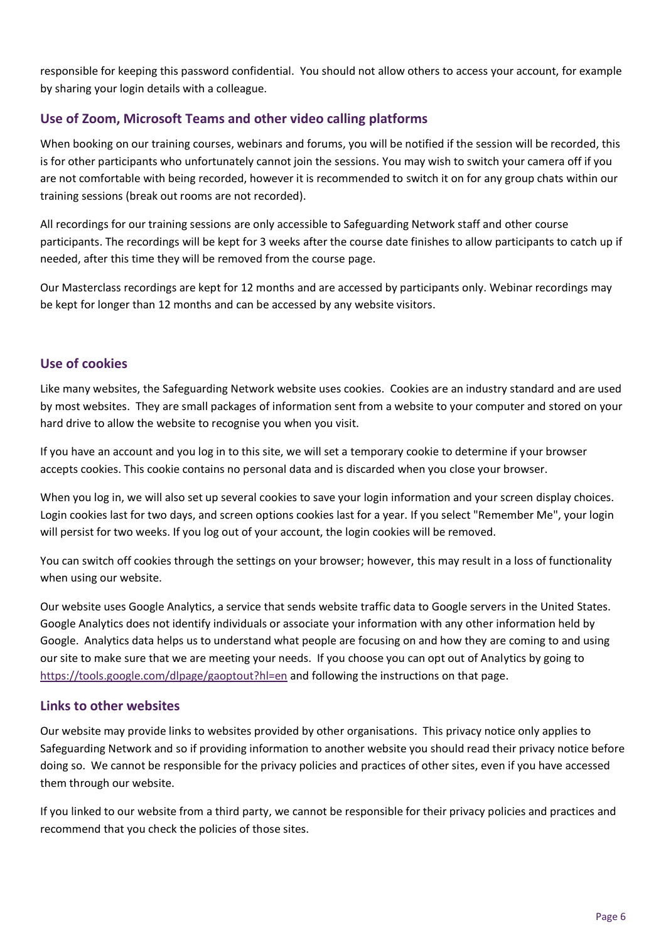responsible for keeping this password confidential. You should not allow others to access your account, for example by sharing your login details with a colleague.

## **Use of Zoom, Microsoft Teams and other video calling platforms**

When booking on our training courses, webinars and forums, you will be notified if the session will be recorded, this is for other participants who unfortunately cannot join the sessions. You may wish to switch your camera off if you are not comfortable with being recorded, however it is recommended to switch it on for any group chats within our training sessions (break out rooms are not recorded).

All recordings for our training sessions are only accessible to Safeguarding Network staff and other course participants. The recordings will be kept for 3 weeks after the course date finishes to allow participants to catch up if needed, after this time they will be removed from the course page.

Our Masterclass recordings are kept for 12 months and are accessed by participants only. Webinar recordings may be kept for longer than 12 months and can be accessed by any website visitors.

### **Use of cookies**

Like many websites, the Safeguarding Network website uses cookies. Cookies are an industry standard and are used by most websites. They are small packages of information sent from a website to your computer and stored on your hard drive to allow the website to recognise you when you visit.

If you have an account and you log in to this site, we will set a temporary cookie to determine if your browser accepts cookies. This cookie contains no personal data and is discarded when you close your browser.

When you log in, we will also set up several cookies to save your login information and your screen display choices. Login cookies last for two days, and screen options cookies last for a year. If you select "Remember Me", your login will persist for two weeks. If you log out of your account, the login cookies will be removed.

You can switch off cookies through the settings on your browser; however, this may result in a loss of functionality when using our website.

Our website uses Google Analytics, a service that sends website traffic data to Google servers in the United States. Google Analytics does not identify individuals or associate your information with any other information held by Google. Analytics data helps us to understand what people are focusing on and how they are coming to and using our site to make sure that we are meeting your needs. If you choose you can opt out of Analytics by going to <https://tools.google.com/dlpage/gaoptout?hl=en> and following the instructions on that page.

### **Links to other websites**

Our website may provide links to websites provided by other organisations. This privacy notice only applies to Safeguarding Network and so if providing information to another website you should read their privacy notice before doing so. We cannot be responsible for the privacy policies and practices of other sites, even if you have accessed them through our website.

If you linked to our website from a third party, we cannot be responsible for their privacy policies and practices and recommend that you check the policies of those sites.